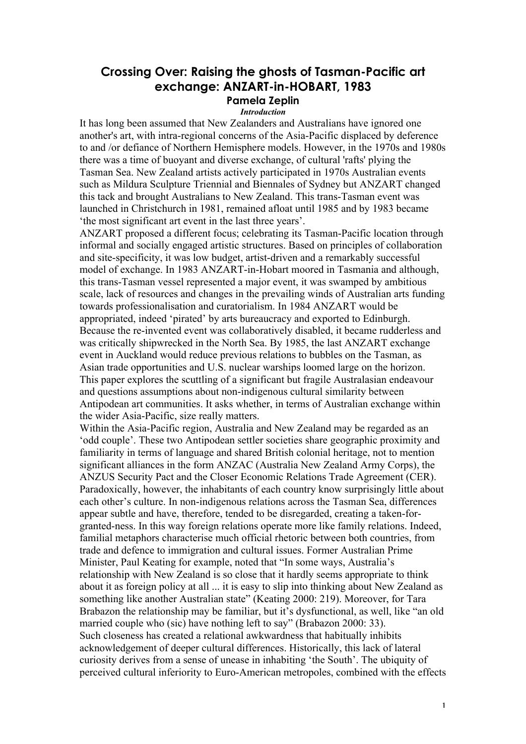## **Crossing Over: Raising the ghosts of Tasman-Pacific art exchange: ANZART-in-HOBART, 1983 Pamela Zeplin**

## *Introduction*

It has long been assumed that New Zealanders and Australians have ignored one another's art, with intra-regional concerns of the Asia-Pacific displaced by deference to and /or defiance of Northern Hemisphere models. However, in the 1970s and 1980s there was a time of buoyant and diverse exchange, of cultural 'rafts' plying the Tasman Sea. New Zealand artists actively participated in 1970s Australian events such as Mildura Sculpture Triennial and Biennales of Sydney but ANZART changed this tack and brought Australians to New Zealand. This trans-Tasman event was launched in Christchurch in 1981, remained afloat until 1985 and by 1983 became 'the most significant art event in the last three years'.

ANZART proposed a different focus; celebrating its Tasman-Pacific location through informal and socially engaged artistic structures. Based on principles of collaboration and site-specificity, it was low budget, artist-driven and a remarkably successful model of exchange. In 1983 ANZART-in-Hobart moored in Tasmania and although, this trans-Tasman vessel represented a major event, it was swamped by ambitious scale, lack of resources and changes in the prevailing winds of Australian arts funding towards professionalisation and curatorialism. In 1984 ANZART would be appropriated, indeed 'pirated' by arts bureaucracy and exported to Edinburgh. Because the re-invented event was collaboratively disabled, it became rudderless and was critically shipwrecked in the North Sea. By 1985, the last ANZART exchange event in Auckland would reduce previous relations to bubbles on the Tasman, as Asian trade opportunities and U.S. nuclear warships loomed large on the horizon. This paper explores the scuttling of a significant but fragile Australasian endeavour and questions assumptions about non-indigenous cultural similarity between Antipodean art communities. It asks whether, in terms of Australian exchange within the wider Asia-Pacific, size really matters.

Within the Asia-Pacific region, Australia and New Zealand may be regarded as an 'odd couple'. These two Antipodean settler societies share geographic proximity and familiarity in terms of language and shared British colonial heritage, not to mention significant alliances in the form ANZAC (Australia New Zealand Army Corps), the ANZUS Security Pact and the Closer Economic Relations Trade Agreement (CER). Paradoxically, however, the inhabitants of each country know surprisingly little about each other's culture. In non-indigenous relations across the Tasman Sea, differences appear subtle and have, therefore, tended to be disregarded, creating a taken-forgranted-ness. In this way foreign relations operate more like family relations. Indeed, familial metaphors characterise much official rhetoric between both countries, from trade and defence to immigration and cultural issues. Former Australian Prime Minister, Paul Keating for example, noted that "In some ways, Australia's relationship with New Zealand is so close that it hardly seems appropriate to think about it as foreign policy at all ... it is easy to slip into thinking about New Zealand as something like another Australian state" (Keating 2000: 219). Moreover, for Tara Brabazon the relationship may be familiar, but it's dysfunctional, as well, like "an old married couple who (sic) have nothing left to say" (Brabazon 2000: 33). Such closeness has created a relational awkwardness that habitually inhibits acknowledgement of deeper cultural differences. Historically, this lack of lateral curiosity derives from a sense of unease in inhabiting 'the South'. The ubiquity of perceived cultural inferiority to Euro-American metropoles, combined with the effects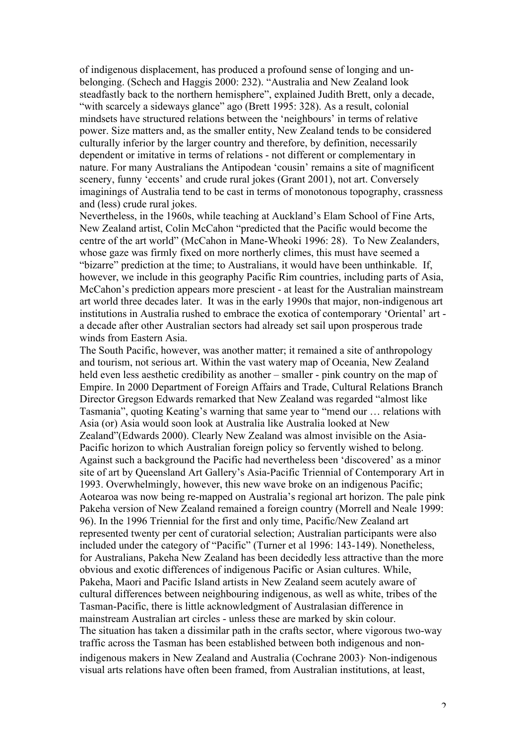of indigenous displacement, has produced a profound sense of longing and unbelonging. (Schech and Haggis 2000: 232). "Australia and New Zealand look steadfastly back to the northern hemisphere", explained Judith Brett, only a decade, "with scarcely a sideways glance" ago (Brett 1995: 328). As a result, colonial mindsets have structured relations between the 'neighbours' in terms of relative power. Size matters and, as the smaller entity, New Zealand tends to be considered culturally inferior by the larger country and therefore, by definition, necessarily dependent or imitative in terms of relations - not different or complementary in nature. For many Australians the Antipodean 'cousin' remains a site of magnificent scenery, funny 'eccents' and crude rural jokes (Grant 2001), not art. Conversely imaginings of Australia tend to be cast in terms of monotonous topography, crassness and (less) crude rural jokes.

Nevertheless, in the 1960s, while teaching at Auckland's Elam School of Fine Arts, New Zealand artist, Colin McCahon "predicted that the Pacific would become the centre of the art world" (McCahon in Mane-Wheoki 1996: 28). To New Zealanders, whose gaze was firmly fixed on more northerly climes, this must have seemed a "bizarre" prediction at the time; to Australians, it would have been unthinkable. If, however, we include in this geography Pacific Rim countries, including parts of Asia, McCahon's prediction appears more prescient - at least for the Australian mainstream art world three decades later. It was in the early 1990s that major, non-indigenous art institutions in Australia rushed to embrace the exotica of contemporary 'Oriental' art a decade after other Australian sectors had already set sail upon prosperous trade winds from Eastern Asia.

The South Pacific, however, was another matter; it remained a site of anthropology and tourism, not serious art. Within the vast watery map of Oceania, New Zealand held even less aesthetic credibility as another – smaller - pink country on the map of Empire. In 2000 Department of Foreign Affairs and Trade, Cultural Relations Branch Director Gregson Edwards remarked that New Zealand was regarded "almost like Tasmania", quoting Keating's warning that same year to "mend our … relations with Asia (or) Asia would soon look at Australia like Australia looked at New Zealand"(Edwards 2000). Clearly New Zealand was almost invisible on the Asia-Pacific horizon to which Australian foreign policy so fervently wished to belong. Against such a background the Pacific had nevertheless been 'discovered' as a minor site of art by Queensland Art Gallery's Asia-Pacific Triennial of Contemporary Art in 1993. Overwhelmingly, however, this new wave broke on an indigenous Pacific; Aotearoa was now being re-mapped on Australia's regional art horizon. The pale pink Pakeha version of New Zealand remained a foreign country (Morrell and Neale 1999: 96). In the 1996 Triennial for the first and only time, Pacific/New Zealand art represented twenty per cent of curatorial selection; Australian participants were also included under the category of "Pacific" (Turner et al 1996: 143-149). Nonetheless, for Australians, Pakeha New Zealand has been decidedly less attractive than the more obvious and exotic differences of indigenous Pacific or Asian cultures. While, Pakeha, Maori and Pacific Island artists in New Zealand seem acutely aware of cultural differences between neighbouring indigenous, as well as white, tribes of the Tasman-Pacific, there is little acknowledgment of Australasian difference in mainstream Australian art circles - unless these are marked by skin colour. The situation has taken a dissimilar path in the crafts sector, where vigorous two-way traffic across the Tasman has been established between both indigenous and nonindigenous makers in New Zealand and Australia (Cochrane 2003). Non-indigenous visual arts relations have often been framed, from Australian institutions, at least,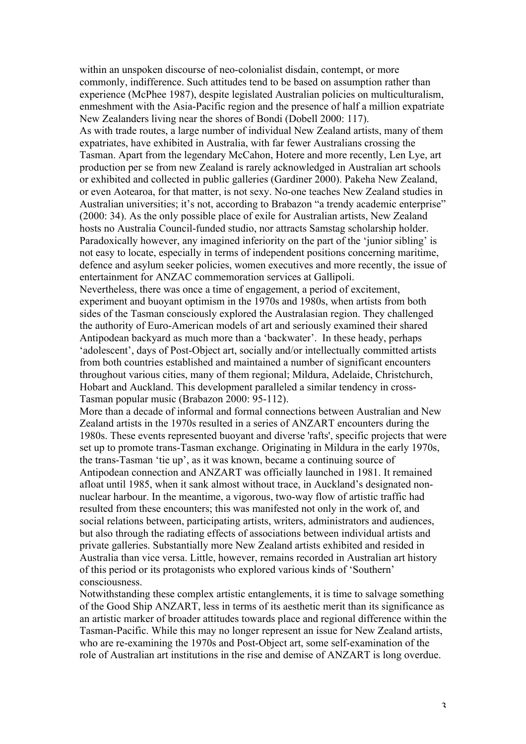within an unspoken discourse of neo-colonialist disdain, contempt, or more commonly, indifference. Such attitudes tend to be based on assumption rather than experience (McPhee 1987), despite legislated Australian policies on multiculturalism, enmeshment with the Asia-Pacific region and the presence of half a million expatriate New Zealanders living near the shores of Bondi (Dobell 2000: 117). As with trade routes, a large number of individual New Zealand artists, many of them expatriates, have exhibited in Australia, with far fewer Australians crossing the Tasman. Apart from the legendary McCahon, Hotere and more recently, Len Lye, art production per se from new Zealand is rarely acknowledged in Australian art schools or exhibited and collected in public galleries (Gardiner 2000). Pakeha New Zealand, or even Aotearoa, for that matter, is not sexy. No-one teaches New Zealand studies in Australian universities; it's not, according to Brabazon "a trendy academic enterprise" (2000: 34). As the only possible place of exile for Australian artists, New Zealand hosts no Australia Council-funded studio, nor attracts Samstag scholarship holder. Paradoxically however, any imagined inferiority on the part of the 'junior sibling' is not easy to locate, especially in terms of independent positions concerning maritime, defence and asylum seeker policies, women executives and more recently, the issue of entertainment for ANZAC commemoration services at Gallipoli. Nevertheless, there was once a time of engagement, a period of excitement,

experiment and buoyant optimism in the 1970s and 1980s, when artists from both sides of the Tasman consciously explored the Australasian region. They challenged the authority of Euro-American models of art and seriously examined their shared Antipodean backyard as much more than a 'backwater'. In these heady, perhaps 'adolescent', days of Post-Object art, socially and/or intellectually committed artists from both countries established and maintained a number of significant encounters throughout various cities, many of them regional; Mildura, Adelaide, Christchurch, Hobart and Auckland. This development paralleled a similar tendency in cross-Tasman popular music (Brabazon 2000: 95-112).

More than a decade of informal and formal connections between Australian and New Zealand artists in the 1970s resulted in a series of ANZART encounters during the 1980s. These events represented buoyant and diverse 'rafts', specific projects that were set up to promote trans-Tasman exchange. Originating in Mildura in the early 1970s, the trans-Tasman 'tie up', as it was known, became a continuing source of Antipodean connection and ANZART was officially launched in 1981. It remained afloat until 1985, when it sank almost without trace, in Auckland's designated nonnuclear harbour. In the meantime, a vigorous, two-way flow of artistic traffic had resulted from these encounters; this was manifested not only in the work of, and social relations between, participating artists, writers, administrators and audiences, but also through the radiating effects of associations between individual artists and private galleries. Substantially more New Zealand artists exhibited and resided in Australia than vice versa. Little, however, remains recorded in Australian art history of this period or its protagonists who explored various kinds of 'Southern' consciousness.

Notwithstanding these complex artistic entanglements, it is time to salvage something of the Good Ship ANZART, less in terms of its aesthetic merit than its significance as an artistic marker of broader attitudes towards place and regional difference within the Tasman-Pacific. While this may no longer represent an issue for New Zealand artists, who are re-examining the 1970s and Post-Object art, some self-examination of the role of Australian art institutions in the rise and demise of ANZART is long overdue.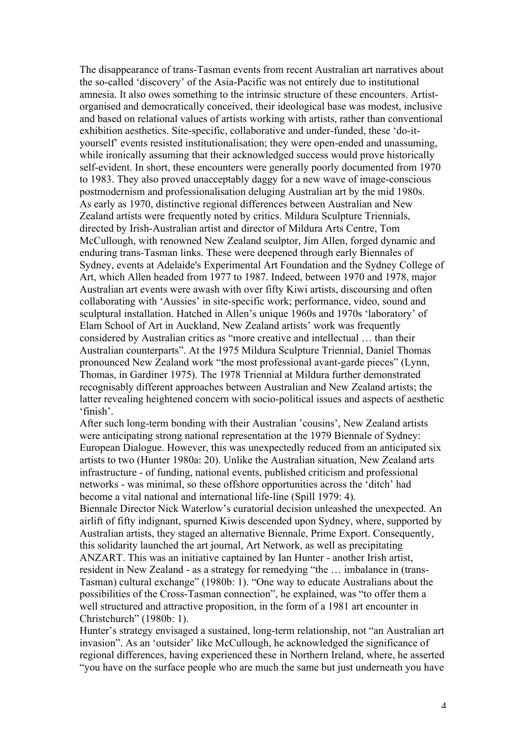The disappearance of trans-Tasman events from recent Australian art narratives about the so-called 'discovery' of the Asia-Pacific was not entirely due to institutional amnesia. It also owes something to the intrinsic structure of these encounters. Artistorganised and democratically conceived, their ideological base was modest, inclusive and based on relational values of artists working with artists, rather than conventional exhibition aesthetics. Site-specific, collaborative and under-funded, these 'do-ityourself' events resisted institutionalisation; they were open-ended and unassuming, while ironically assuming that their acknowledged success would prove historically self-evident. In short, these encounters were generally poorly documented from 1970 to 1983. They also proved unacceptably daggy for a new wave of image-conscious postmodernism and professionalisation deluging Australian art by the mid 1980s. As early as 1970, distinctive regional differences between Australian and New Zealand artists were frequently noted by critics. Mildura Sculpture Triennials, directed by Irish-Australian artist and director of Mildura Arts Centre, Tom McCullough, with renowned New Zealand sculptor, Jim Allen, forged dynamic and enduring trans-Tasman links. These were deepened through early Biennales of Sydney, events at Adelaide's Experimental Art Foundation and the Sydney College of Art, which Allen headed from 1977 to 1987. Indeed, between 1970 and 1978, major Australian art events were awash with over fifty Kiwi artists, discoursing and often collaborating with 'Aussies' in site-specific work; performance, video, sound and sculptural installation. Hatched in Allen's unique 1960s and 1970s 'laboratory' of Elam School of Art in Auckland, New Zealand artists' work was frequently considered by Australian critics as "more creative and intellectual … than their Australian counterparts". At the 1975 Mildura Sculpture Triennial, Daniel Thomas pronounced New Zealand work "the most professional avant-garde pieces" (Lynn, Thomas, in Gardiner 1975). The 1978 Triennial at Mildura further demonstrated recognisably different approaches between Australian and New Zealand artists; the latter revealing heightened concern with socio-political issues and aspects of aesthetic 'finish'.

After such long-term bonding with their Australian 'cousins', New Zealand artists were anticipating strong national representation at the 1979 Biennale of Sydney: European Dialogue. However, this was unexpectedly reduced from an anticipated six artists to two (Hunter 1980a: 20). Unlike the Australian situation, New Zealand arts infrastructure - of funding, national events, published criticism and professional networks - was minimal, so these offshore opportunities across the 'ditch' had become a vital national and international life-line (Spill 1979: 4).

Biennale Director Nick Waterlow's curatorial decision unleashed the unexpected. An airlift of fifty indignant, spurned Kiwis descended upon Sydney, where, supported by Australian artists, they staged an alternative Biennale, Prime Export. Consequently, this solidarity launched the art journal, Art Network, as well as precipitating ANZART. This was an initiative captained by Ian Hunter - another Irish artist, resident in New Zealand - as a strategy for remedying "the … imbalance in (trans-Tasman) cultural exchange" (1980b: 1). "One way to educate Australians about the possibilities of the Cross-Tasman connection", he explained, was "to offer them a well structured and attractive proposition, in the form of a 1981 art encounter in Christchurch" (1980b: 1).

Hunter's strategy envisaged a sustained, long-term relationship, not "an Australian art invasion". As an 'outsider' like McCullough, he acknowledged the significance of regional differences, having experienced these in Northern Ireland, where, he asserted "you have on the surface people who are much the same but just underneath you have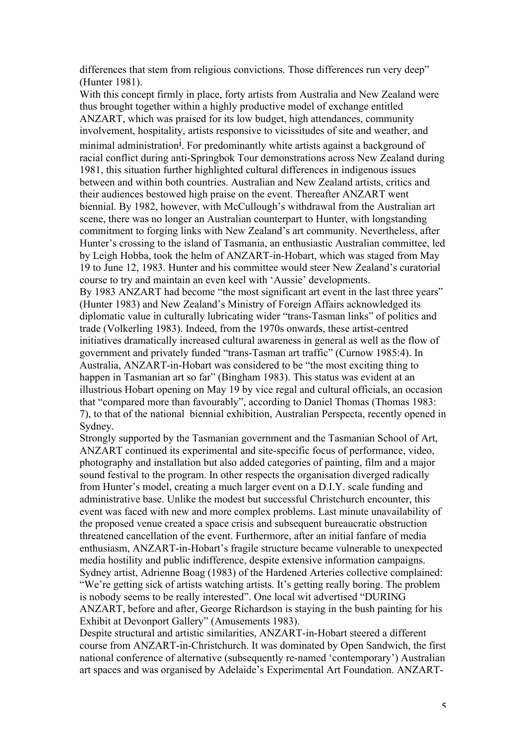differences that stem from religious convictions. Those differences run very deep" (Hunter 1981).

With this concept firmly in place, forty artists from Australia and New Zealand were thus brought together within a highly productive model of exchange entitled ANZART, which was praised for its low budget, high attendances, community involvement, hospitality, artists responsive to vicissitudes of site and weather, and minimal administration<sup>1</sup>. For predominantly white artists against a background of racial conflict during anti-Springbok Tour demonstrations across New Zealand during 1981, this situation further highlighted cultural differences in indigenous issues between and within both countries. Australian and New Zealand artists, critics and their audiences bestowed high praise on the event. Thereafter ANZART went biennial. By 1982, however, with McCullough's withdrawal from the Australian art scene, there was no longer an Australian counterpart to Hunter, with longstanding commitment to forging links with New Zealand's art community. Nevertheless, after Hunter's crossing to the island of Tasmania, an enthusiastic Australian committee, led by Leigh Hobba, took the helm of ANZART-in-Hobart, which was staged from May 19 to June 12, 1983. Hunter and his committee would steer New Zealand's curatorial course to try and maintain an even keel with 'Aussie' developments. By 1983 ANZART had become "the most significant art event in the last three years" (Hunter 1983) and New Zealand's Ministry of Foreign Affairs acknowledged its diplomatic value in culturally lubricating wider "trans-Tasman links" of politics and trade (Volkerling 1983). Indeed, from the 1970s onwards, these artist-centred initiatives dramatically increased cultural awareness in general as well as the flow of government and privately funded "trans-Tasman art traffic" (Curnow 1985:4). In Australia, ANZART-in-Hobart was considered to be "the most exciting thing to happen in Tasmanian art so far" (Bingham 1983). This status was evident at an illustrious Hobart opening on May 19 by vice regal and cultural officials, an occasion that "compared more than favourably", according to Daniel Thomas (Thomas 1983: 7), to that of the national biennial exhibition, Australian Perspecta, recently opened in Sydney.

Strongly supported by the Tasmanian government and the Tasmanian School of Art, ANZART continued its experimental and site-specific focus of performance, video, photography and installation but also added categories of painting, film and a major sound festival to the program. In other respects the organisation diverged radically from Hunter's model, creating a much larger event on a D.I.Y. scale funding and administrative base. Unlike the modest but successful Christchurch encounter, this event was faced with new and more complex problems. Last minute unavailability of the proposed venue created a space crisis and subsequent bureaucratic obstruction threatened cancellation of the event. Furthermore, after an initial fanfare of media enthusiasm, ANZART-in-Hobart's fragile structure became vulnerable to unexpected media hostility and public indifference, despite extensive information campaigns. Sydney artist, Adrienne Boag (1983) of the Hardened Arteries collective complained: "We're getting sick of artists watching artists. It's getting really boring. The problem is nobody seems to be really interested". One local wit advertised "DURING ANZART, before and after, George Richardson is staying in the bush painting for his Exhibit at Devonport Gallery" (Amusements 1983).

Despite structural and artistic similarities, ANZART-in-Hobart steered a different course from ANZART-in-Christchurch. It was dominated by Open Sandwich, the first national conference of alternative (subsequently re-named 'contemporary') Australian art spaces and was organised by Adelaide's Experimental Art Foundation. ANZART-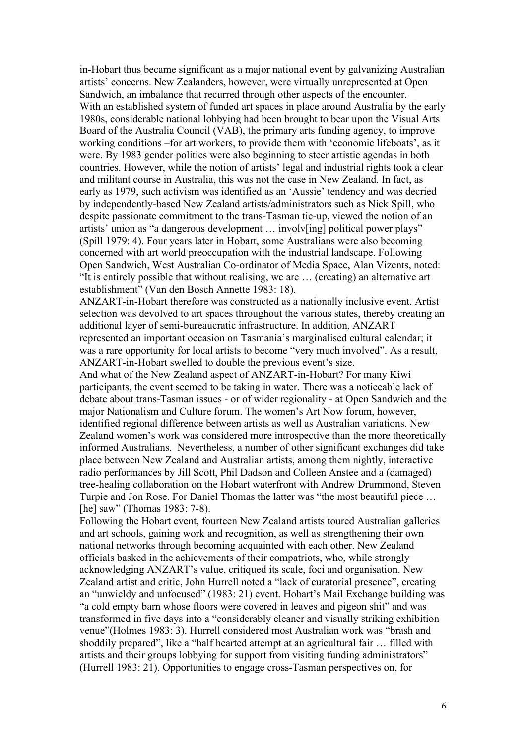in-Hobart thus became significant as a major national event by galvanizing Australian artists' concerns. New Zealanders, however, were virtually unrepresented at Open Sandwich, an imbalance that recurred through other aspects of the encounter. With an established system of funded art spaces in place around Australia by the early 1980s, considerable national lobbying had been brought to bear upon the Visual Arts Board of the Australia Council (VAB), the primary arts funding agency, to improve working conditions –for art workers, to provide them with 'economic lifeboats', as it were. By 1983 gender politics were also beginning to steer artistic agendas in both countries. However, while the notion of artists' legal and industrial rights took a clear and militant course in Australia, this was not the case in New Zealand. In fact, as early as 1979, such activism was identified as an 'Aussie' tendency and was decried by independently-based New Zealand artists/administrators such as Nick Spill, who despite passionate commitment to the trans-Tasman tie-up, viewed the notion of an artists' union as "a dangerous development … involv[ing] political power plays" (Spill 1979: 4). Four years later in Hobart, some Australians were also becoming concerned with art world preoccupation with the industrial landscape. Following Open Sandwich, West Australian Co-ordinator of Media Space, Alan Vizents, noted: "It is entirely possible that without realising, we are … (creating) an alternative art establishment" (Van den Bosch Annette 1983: 18).

ANZART-in-Hobart therefore was constructed as a nationally inclusive event. Artist selection was devolved to art spaces throughout the various states, thereby creating an additional layer of semi-bureaucratic infrastructure. In addition, ANZART represented an important occasion on Tasmania's marginalised cultural calendar; it was a rare opportunity for local artists to become "very much involved". As a result, ANZART-in-Hobart swelled to double the previous event's size.

And what of the New Zealand aspect of ANZART-in-Hobart? For many Kiwi participants, the event seemed to be taking in water. There was a noticeable lack of debate about trans-Tasman issues - or of wider regionality - at Open Sandwich and the major Nationalism and Culture forum. The women's Art Now forum, however, identified regional difference between artists as well as Australian variations. New Zealand women's work was considered more introspective than the more theoretically informed Australians. Nevertheless, a number of other significant exchanges did take place between New Zealand and Australian artists, among them nightly, interactive radio performances by Jill Scott, Phil Dadson and Colleen Anstee and a (damaged) tree-healing collaboration on the Hobart waterfront with Andrew Drummond, Steven Turpie and Jon Rose. For Daniel Thomas the latter was "the most beautiful piece … [he] saw" (Thomas 1983: 7-8).

Following the Hobart event, fourteen New Zealand artists toured Australian galleries and art schools, gaining work and recognition, as well as strengthening their own national networks through becoming acquainted with each other. New Zealand officials basked in the achievements of their compatriots, who, while strongly acknowledging ANZART's value, critiqued its scale, foci and organisation. New Zealand artist and critic, John Hurrell noted a "lack of curatorial presence", creating an "unwieldy and unfocused" (1983: 21) event. Hobart's Mail Exchange building was "a cold empty barn whose floors were covered in leaves and pigeon shit" and was transformed in five days into a "considerably cleaner and visually striking exhibition venue"(Holmes 1983: 3). Hurrell considered most Australian work was "brash and shoddily prepared", like a "half hearted attempt at an agricultural fair … filled with artists and their groups lobbying for support from visiting funding administrators" (Hurrell 1983: 21). Opportunities to engage cross-Tasman perspectives on, for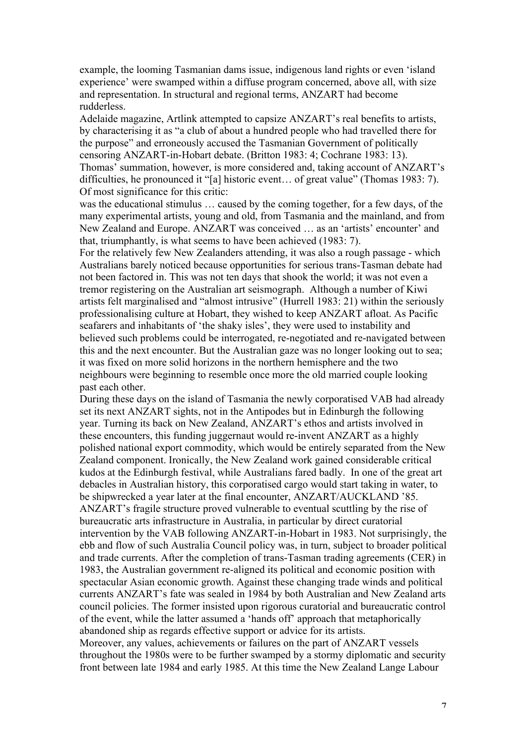example, the looming Tasmanian dams issue, indigenous land rights or even 'island experience' were swamped within a diffuse program concerned, above all, with size and representation. In structural and regional terms, ANZART had become rudderless.

Adelaide magazine, Artlink attempted to capsize ANZART's real benefits to artists, by characterising it as "a club of about a hundred people who had travelled there for the purpose" and erroneously accused the Tasmanian Government of politically censoring ANZART-in-Hobart debate. (Britton 1983: 4; Cochrane 1983: 13). Thomas' summation, however, is more considered and, taking account of ANZART's difficulties, he pronounced it "[a] historic event… of great value" (Thomas 1983: 7). Of most significance for this critic:

was the educational stimulus … caused by the coming together, for a few days, of the many experimental artists, young and old, from Tasmania and the mainland, and from New Zealand and Europe. ANZART was conceived … as an 'artists' encounter' and that, triumphantly, is what seems to have been achieved (1983: 7).

For the relatively few New Zealanders attending, it was also a rough passage - which Australians barely noticed because opportunities for serious trans-Tasman debate had not been factored in. This was not ten days that shook the world; it was not even a tremor registering on the Australian art seismograph. Although a number of Kiwi artists felt marginalised and "almost intrusive" (Hurrell 1983: 21) within the seriously professionalising culture at Hobart, they wished to keep ANZART afloat. As Pacific seafarers and inhabitants of 'the shaky isles', they were used to instability and believed such problems could be interrogated, re-negotiated and re-navigated between this and the next encounter. But the Australian gaze was no longer looking out to sea; it was fixed on more solid horizons in the northern hemisphere and the two neighbours were beginning to resemble once more the old married couple looking past each other.

During these days on the island of Tasmania the newly corporatised VAB had already set its next ANZART sights, not in the Antipodes but in Edinburgh the following year. Turning its back on New Zealand, ANZART's ethos and artists involved in these encounters, this funding juggernaut would re-invent ANZART as a highly polished national export commodity, which would be entirely separated from the New Zealand component. Ironically, the New Zealand work gained considerable critical kudos at the Edinburgh festival, while Australians fared badly. In one of the great art debacles in Australian history, this corporatised cargo would start taking in water, to be shipwrecked a year later at the final encounter, ANZART/AUCKLAND '85. ANZART's fragile structure proved vulnerable to eventual scuttling by the rise of bureaucratic arts infrastructure in Australia, in particular by direct curatorial intervention by the VAB following ANZART-in-Hobart in 1983. Not surprisingly, the ebb and flow of such Australia Council policy was, in turn, subject to broader political and trade currents. After the completion of trans-Tasman trading agreements (CER) in 1983, the Australian government re-aligned its political and economic position with spectacular Asian economic growth. Against these changing trade winds and political currents ANZART's fate was sealed in 1984 by both Australian and New Zealand arts council policies. The former insisted upon rigorous curatorial and bureaucratic control of the event, while the latter assumed a 'hands off' approach that metaphorically abandoned ship as regards effective support or advice for its artists. Moreover, any values, achievements or failures on the part of ANZART vessels

throughout the 1980s were to be further swamped by a stormy diplomatic and security front between late 1984 and early 1985. At this time the New Zealand Lange Labour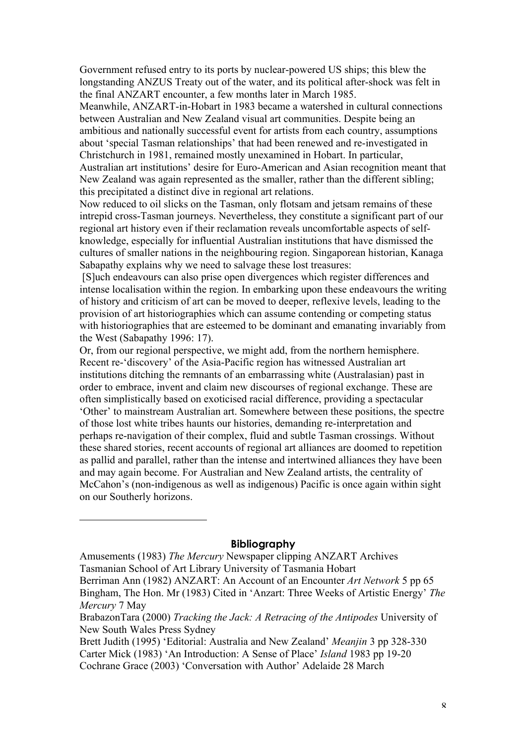Government refused entry to its ports by nuclear-powered US ships; this blew the longstanding ANZUS Treaty out of the water, and its political after-shock was felt in the final ANZART encounter, a few months later in March 1985.

Meanwhile, ANZART-in-Hobart in 1983 became a watershed in cultural connections between Australian and New Zealand visual art communities. Despite being an ambitious and nationally successful event for artists from each country, assumptions about 'special Tasman relationships' that had been renewed and re-investigated in Christchurch in 1981, remained mostly unexamined in Hobart. In particular, Australian art institutions' desire for Euro-American and Asian recognition meant that New Zealand was again represented as the smaller, rather than the different sibling; this precipitated a distinct dive in regional art relations.

Now reduced to oil slicks on the Tasman, only flotsam and jetsam remains of these intrepid cross-Tasman journeys. Nevertheless, they constitute a significant part of our regional art history even if their reclamation reveals uncomfortable aspects of selfknowledge, especially for influential Australian institutions that have dismissed the cultures of smaller nations in the neighbouring region. Singaporean historian, Kanaga Sabapathy explains why we need to salvage these lost treasures:

 [S]uch endeavours can also prise open divergences which register differences and intense localisation within the region. In embarking upon these endeavours the writing of history and criticism of art can be moved to deeper, reflexive levels, leading to the provision of art historiographies which can assume contending or competing status with historiographies that are esteemed to be dominant and emanating invariably from the West (Sabapathy 1996: 17).

Or, from our regional perspective, we might add, from the northern hemisphere. Recent re-'discovery' of the Asia-Pacific region has witnessed Australian art institutions ditching the remnants of an embarrassing white (Australasian) past in order to embrace, invent and claim new discourses of regional exchange. These are often simplistically based on exoticised racial difference, providing a spectacular 'Other' to mainstream Australian art. Somewhere between these positions, the spectre of those lost white tribes haunts our histories, demanding re-interpretation and perhaps re-navigation of their complex, fluid and subtle Tasman crossings. Without these shared stories, recent accounts of regional art alliances are doomed to repetition as pallid and parallel, rather than the intense and intertwined alliances they have been and may again become. For Australian and New Zealand artists, the centrality of McCahon's (non-indigenous as well as indigenous) Pacific is once again within sight on our Southerly horizons.

## **Bibliography**

 $\overline{a}$ 

Amusements (1983) *The Mercury* Newspaper clipping ANZART Archives Tasmanian School of Art Library University of Tasmania Hobart Berriman Ann (1982) ANZART: An Account of an Encounter *Art Network* 5 pp 65 Bingham, The Hon. Mr (1983) Cited in 'Anzart: Three Weeks of Artistic Energy' *The Mercury* 7 May

BrabazonTara (2000) *Tracking the Jack: A Retracing of the Antipodes* University of New South Wales Press Sydney

Brett Judith (1995) 'Editorial: Australia and New Zealand' *Meanjin* 3 pp 328-330 Carter Mick (1983) 'An Introduction: A Sense of Place' *Island* 1983 pp 19-20 Cochrane Grace (2003) 'Conversation with Author' Adelaide 28 March